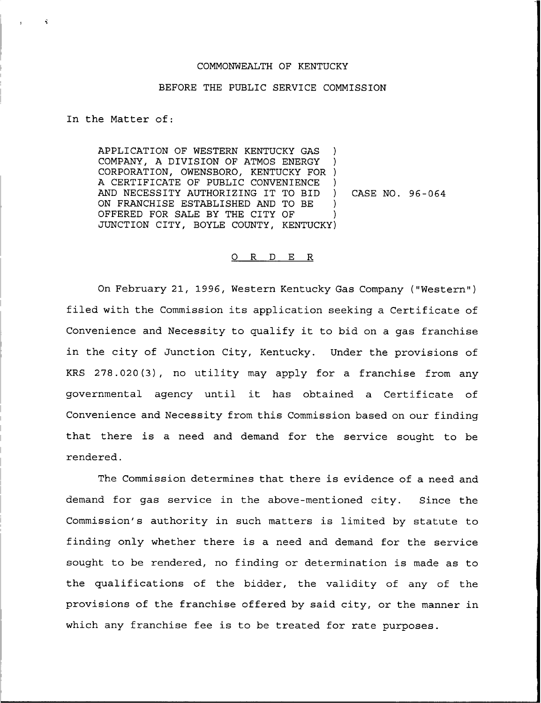## COMMONWEALTH OF KENTUCKY

## BEFORE THE PUBLIC SERVICE COMMISSION

In the Matter of:

APPLICATION OF WESTERN KENTUCKY GAS ) COMPANY, A DIVISION OF ATMOS ENERGY CORPORATION, OWENSBORO, KENTUCKY FOR ) A CERTIFICATE OF PUBLIC CONVENIENCE AND NECESSITY AUTHORIZING IT TO BID ) ON FRANCHISE ESTABLISHED AND TO BE OFFERED FOR SALE BY THE CITY OF JUNCTION CITY, BOYLE COUNTY, KENTUCKY) CASE NO. 96-064

## 0 R <sup>D</sup> E <sup>R</sup>

On February 21, 1996, Western Kentucky Gas Company ("Western" ) filed with the Commission its application seeking a Certificate of Convenience and Necessity to qualify it to bid on <sup>a</sup> gas franchise in the city of Junction City, Kentucky. Under the provisions of KRS 278.020(3), no utility may apply for a franchise from any governmental agency until it has obtained <sup>a</sup> Certificate of Convenience and Necessity from this Commission based on our finding that there is a need and demand for the service sought to be rendered.

The Commission determines that there is evidence of a need and demand for gas service in the above-mentioned city. Since the Commission's authority in such matters is limited by statute to finding only whether there is a need and demand for the service sought to be rendered, no finding or determination is made as to the qualifications of the bidder, the validity of any of the provisions of the franchise offered by said city, or the manner in which any franchise fee is to be treated for rate purposes.